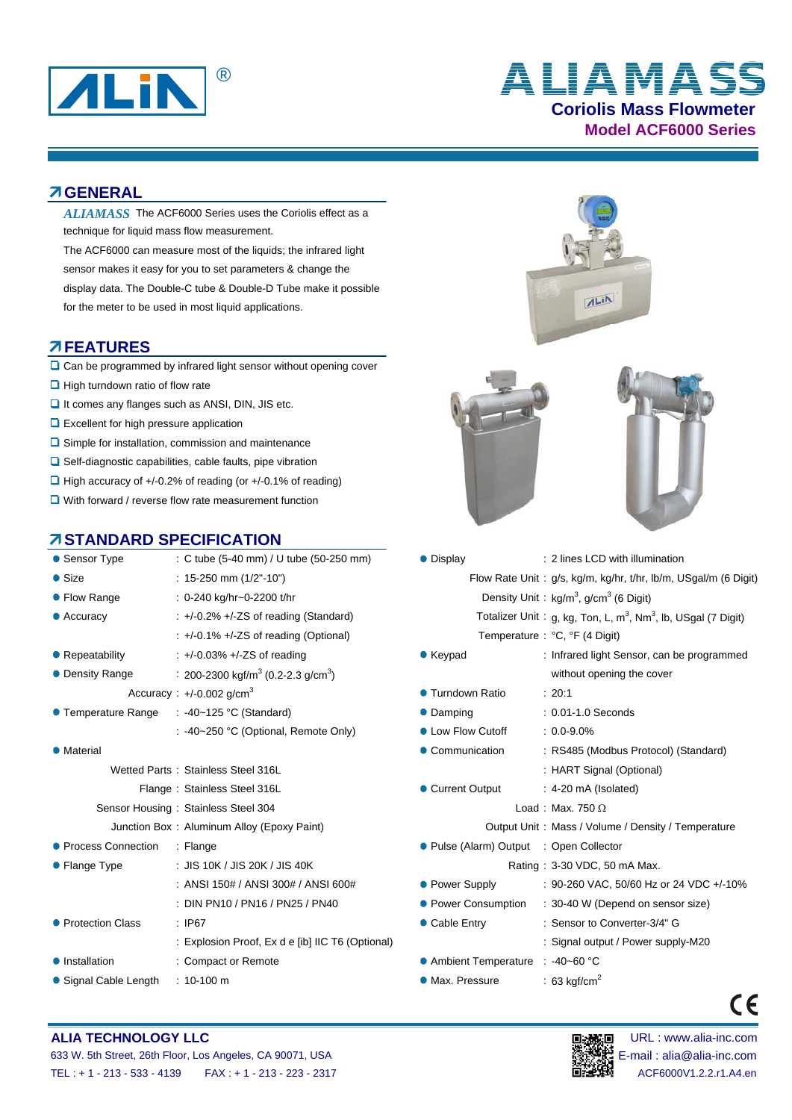

# **Coriolis Mass Flowmeter Model ACF6000 Series** ® **ALIAMASS**

#### **GENERAL**

- ALIAMASS The ACF6000 Series uses the Coriolis effect as a technique for liquid mass flow measurement.
- The ACF6000 can measure most of the liquids; the infrared light sensor makes it easy for you to set parameters & change the display data. The Double-C tube & Double-D Tube make it possible for the meter to be used in most liquid applications.

#### **FEATURES**

- $\Box$  Can be programmed by infrared light sensor without opening cover
- $\Box$  High turndown ratio of flow rate
- $\Box$  It comes any flanges such as ANSI, DIN, JIS etc.
- **Q** Excellent for high pressure application
- $\square$  Simple for installation, commission and maintenance
- $\Box$  Self-diagnostic capabilities, cable faults, pipe vibration
- $\Box$  High accuracy of +/-0.2% of reading (or +/-0.1% of reading)
- **Q** With forward / reverse flow rate measurement function

#### **STANDARD SPECIFICATION**

| • Sensor Type           | : C tube (5-40 mm) / U tube (50-250 mm)                    | • Display                               | : 2 lines LCD with illum                                      |
|-------------------------|------------------------------------------------------------|-----------------------------------------|---------------------------------------------------------------|
| $\bullet$ Size          | : 15-250 mm $(1/2" - 10")$                                 |                                         | Flow Rate Unit: g/s, kg/m, kg/hr, t/hr,                       |
| • Flow Range            | : 0-240 kg/hr~0-2200 t/hr                                  |                                         | Density Unit: kg/m <sup>3</sup> , g/cm <sup>3</sup> (6 Digit) |
| • Accuracy              | $\div$ +/-0.2% +/-ZS of reading (Standard)                 |                                         | Totalizer Unit: g, kg, Ton, L, m <sup>3</sup> , Nm            |
|                         | $\div$ +/-0.1% +/-ZS of reading (Optional)                 |                                         | Temperature: °C, °F (4 Digit)                                 |
| $\bullet$ Repeatability | $\pm$ +/-0.03% +/-ZS of reading                            | $\bullet$ Keypad                        | : Infrared light Sensor,                                      |
| • Density Range         | : 200-2300 kgf/m <sup>3</sup> (0.2-2.3 g/cm <sup>3</sup> ) |                                         | without opening the o                                         |
|                         | Accuracy: $+/-0.002$ g/cm <sup>3</sup>                     | ● Turndown Ratio                        | : 20:1                                                        |
| ● Temperature Range     | : -40~125 °C (Standard)                                    | • Damping                               | : 0.01-1.0 Seconds                                            |
|                         | : -40~250 °C (Optional, Remote Only)                       | • Low Flow Cutoff                       | $: 0.0 - 9.0\%$                                               |
| • Material              |                                                            | • Communication                         | : RS485 (Modbus Prot                                          |
|                         | Wetted Parts: Stainless Steel 316L                         |                                         | : HART Signal (Option                                         |
|                         | Flange: Stainless Steel 316L                               | Current Output                          | $: 4-20 \text{ mA}$ (Isolated)                                |
|                         | Sensor Housing: Stainless Steel 304                        |                                         | Load: Max. 750 $\Omega$                                       |
|                         | Junction Box: Aluminum Alloy (Epoxy Paint)                 |                                         | Output Unit: Mass / Volume / Den                              |
| ● Process Connection    | $:$ Flange                                                 | ● Pulse (Alarm) Output : Open Collector |                                                               |
| • Flange Type           | : JIS 10K / JIS 20K / JIS 40K                              |                                         | Rating: 3-30 VDC, 50 mA Ma                                    |
|                         | : ANSI 150# / ANSI 300# / ANSI 600#                        | • Power Supply                          | : 90-260 VAC, 50/60 H                                         |
|                         | : DIN PN10 / PN16 / PN25 / PN40                            | • Power Consumption                     | $: 30-40 W$ (Depend on                                        |
| • Protection Class      | $\therefore$ IP67                                          | • Cable Entry                           | : Sensor to Converter-                                        |
|                         | : Explosion Proof, Ex d e [ib] IIC T6 (Optional)           |                                         | : Signal output / Powe                                        |
| • Installation          | : Compact or Remote                                        | ● Ambient Temperature : -40~60 °C       |                                                               |
| • Signal Cable Length   | $: 10 - 100$ m                                             | • Max. Pressure                         | : 63 kgf/cm <sup>2</sup>                                      |



#### **ALIA TECHNOLOGY LLC Department of the CONNOCALIST CONNOCALIST CONNOCALIST DESCRIPTION OF THE URL : www.alia-inc.com**





 $\epsilon$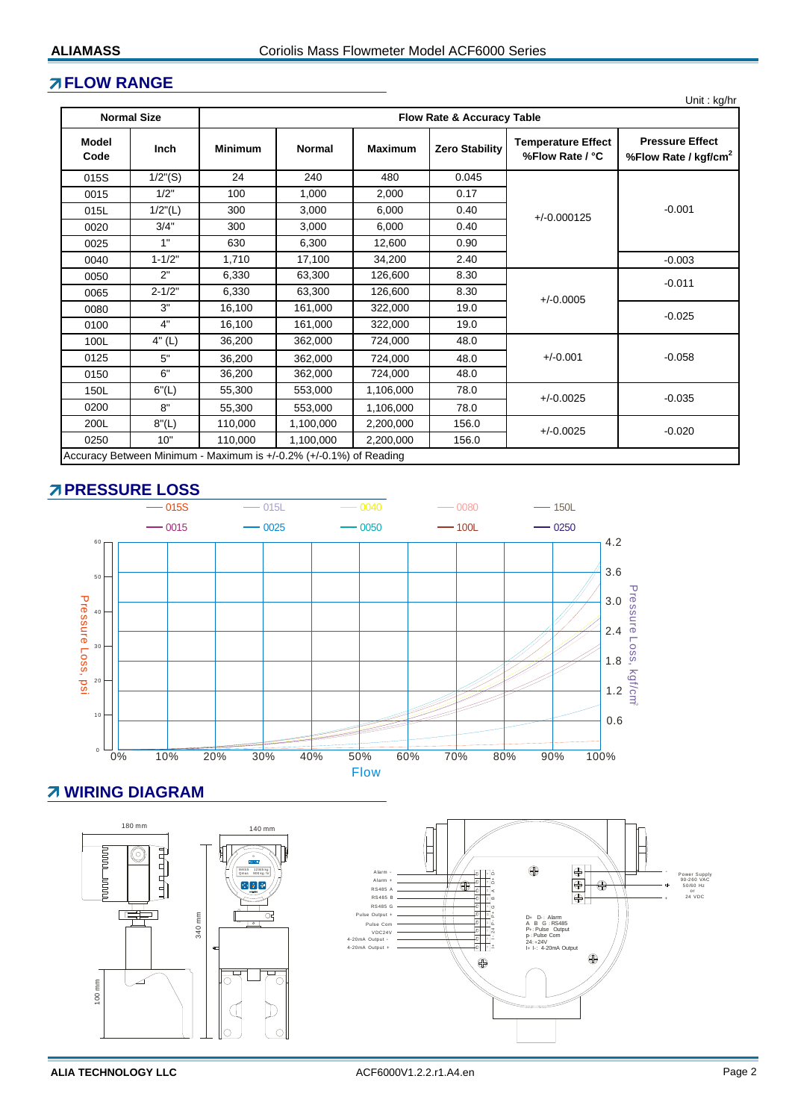#### **FLOW RANGE**

|  | Unit: kg/hr |
|--|-------------|
|  |             |

|                                                                    | <b>Normal Size</b><br><b>Flow Rate &amp; Accuracy Table</b> |                   |               |                |                       |                                              |                                                            |  |
|--------------------------------------------------------------------|-------------------------------------------------------------|-------------------|---------------|----------------|-----------------------|----------------------------------------------|------------------------------------------------------------|--|
| Model<br>Code                                                      | <b>Inch</b>                                                 | <b>Minimum</b>    | <b>Normal</b> | <b>Maximum</b> | <b>Zero Stability</b> | <b>Temperature Effect</b><br>%Flow Rate / °C | <b>Pressure Effect</b><br>%Flow Rate / kgf/cm <sup>2</sup> |  |
| 015S                                                               | $1/2$ "(S)                                                  | 24                | 240           | 480            | 0.045                 |                                              |                                                            |  |
| 0015                                                               | 1/2"                                                        | 100               | 1,000         | 2,000          | 0.17                  |                                              |                                                            |  |
| 015L                                                               | $1/2$ "(L)                                                  | 300               | 3,000         | 6,000          | 0.40                  | $+/-0.000125$                                | $-0.001$                                                   |  |
| 0020                                                               | 3/4"                                                        | 300               | 3,000         | 6,000          | 0.40                  |                                              |                                                            |  |
| 0025                                                               | 1"                                                          | 630               | 6,300         | 12,600         | 0.90                  |                                              |                                                            |  |
| 0040                                                               | $1 - 1/2"$                                                  | 1,710             | 17,100        | 34,200         | 2.40                  |                                              | $-0.003$                                                   |  |
| 0050                                                               | 2"                                                          | 6,330             | 63,300        | 126,600        | 8.30                  |                                              | $-0.011$                                                   |  |
| 0065                                                               | $2 - 1/2"$                                                  | 6,330             | 63,300        | 126,600        | 8.30                  | $+/-0.0005$                                  |                                                            |  |
| 0080                                                               | 3"                                                          | 16,100            | 161,000       | 322,000        | 19.0                  |                                              | $-0.025$                                                   |  |
| 0100                                                               | 4"                                                          | 16,100            | 161,000       | 322,000        | 19.0                  |                                              |                                                            |  |
| 100L                                                               | 4" (L)                                                      | 36,200            | 362,000       | 724,000        | 48.0                  |                                              |                                                            |  |
| 0125                                                               | 5"                                                          | 36,200<br>362,000 |               | 724.000        | 48.0                  | $+/-0.001$                                   | $-0.058$                                                   |  |
| 0150                                                               | 6"                                                          | 36,200            | 362,000       | 724,000        | 48.0                  |                                              |                                                            |  |
| 150L                                                               | 6''(L)                                                      | 55,300            | 553,000       | 1,106,000      | 78.0                  | $+/-0.0025$<br>$-0.035$                      |                                                            |  |
| 0200                                                               | 8"                                                          | 55,300            | 553,000       | 1,106,000      | 78.0                  |                                              |                                                            |  |
| 200L                                                               | 8''(L)                                                      | 110,000           | 1,100,000     | 2,200,000      | 156.0                 | $+/-0.0025$                                  |                                                            |  |
| 0250                                                               | 10"                                                         | 110,000           | 1,100,000     | 2,200,000      | $-0.020$<br>156.0     |                                              |                                                            |  |
| Accuracy Between Minimum - Maximum is +/-0.2% (+/-0.1%) of Reading |                                                             |                   |               |                |                       |                                              |                                                            |  |

# **PRESSURE LOSS**



# **WIRING DIAGRAM**

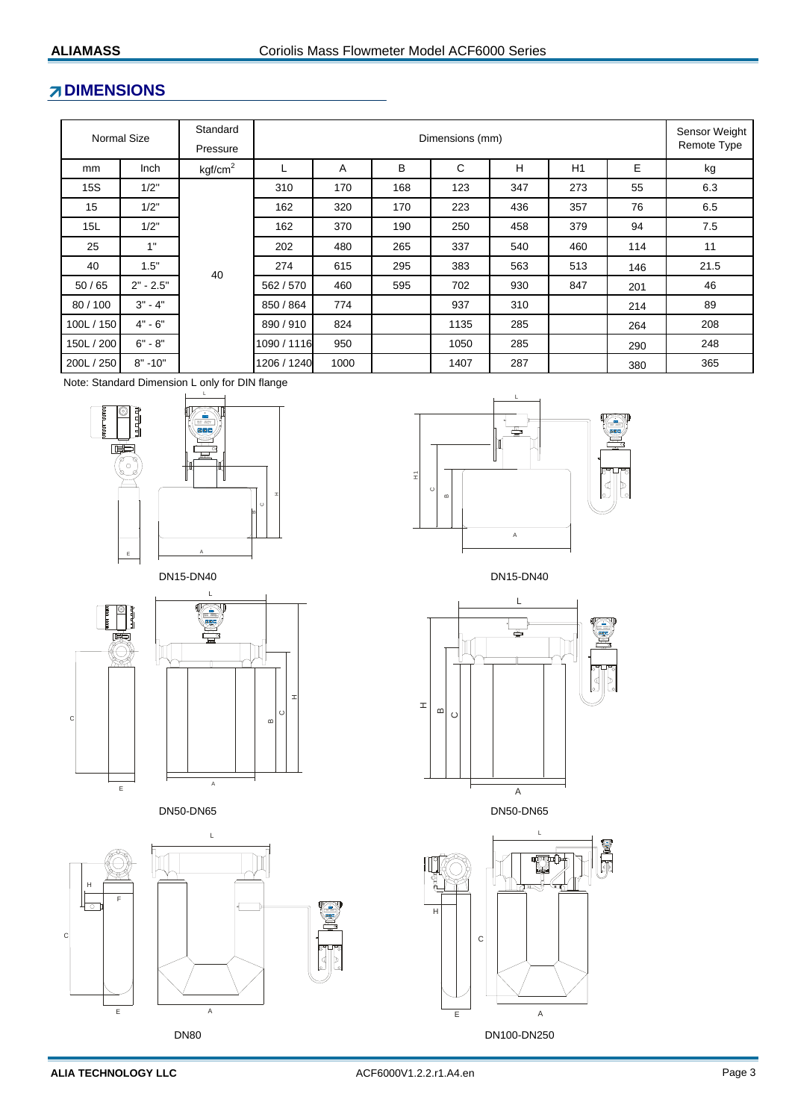# **ZDIMENSIONS**

|            | Normal Size | Standard<br>Pressure | Dimensions (mm) |      |     |      |     |     | Sensor Weight<br>Remote Type |      |
|------------|-------------|----------------------|-----------------|------|-----|------|-----|-----|------------------------------|------|
| mm         | Inch        | kgf/cm <sup>2</sup>  | L               | A    | B   | C    | н   | H1  | E                            | kg   |
| <b>15S</b> | 1/2"        |                      | 310             | 170  | 168 | 123  | 347 | 273 | 55                           | 6.3  |
| 15         | 1/2"        | 40                   | 162             | 320  | 170 | 223  | 436 | 357 | 76                           | 6.5  |
| 15L        | 1/2"        |                      | 162             | 370  | 190 | 250  | 458 | 379 | 94                           | 7.5  |
| 25         | 1"          |                      | 202             | 480  | 265 | 337  | 540 | 460 | 114                          | 11   |
| 40         | 1.5"        |                      | 274             | 615  | 295 | 383  | 563 | 513 | 146                          | 21.5 |
| 50/65      | $2" - 2.5"$ |                      | 562/570         | 460  | 595 | 702  | 930 | 847 | 201                          | 46   |
| 80/100     | $3" - 4"$   |                      | 850 / 864       | 774  |     | 937  | 310 |     | 214                          | 89   |
| 100L / 150 | $4" - 6"$   |                      | 890/910         | 824  |     | 1135 | 285 |     | 264                          | 208  |
| 150L / 200 | $6" - 8"$   |                      | 1090 / 1116     | 950  |     | 1050 | 285 |     | 290                          | 248  |
| 200L / 250 | $8" - 10"$  |                      | 1206 / 1240     | 1000 |     | 1407 | 287 |     | 380                          | 365  |

Note: Standard Dimension L only for DIN flange





CH1 A

L









DN50-DN65 DN50-DN65 A